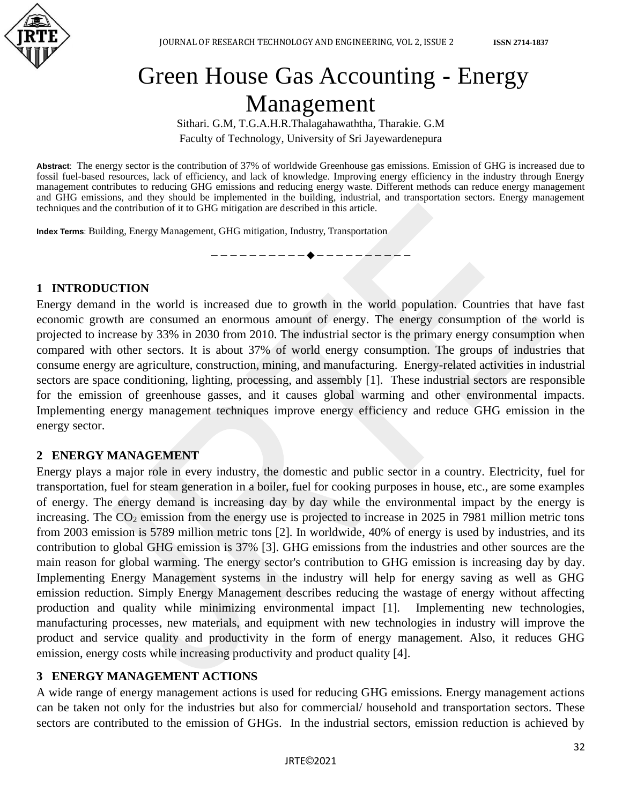

# Green House Gas Accounting - Energy Management

Sithari. G.M, T.G.A.H.R.Thalagahawaththa, Tharakie. G.M Faculty of Technology, University of Sri Jayewardenepura

**Abstract**: The energy sector is the contribution of 37% of worldwide Greenhouse gas emissions. Emission of GHG is increased due to fossil fuel-based resources, lack of efficiency, and lack of knowledge. Improving energy efficiency in the industry through Energy management contributes to reducing GHG emissions and reducing energy waste. Different methods can reduce energy management and GHG emissions, and they should be implemented in the building, industrial, and transportation sectors. Energy management techniques and the contribution of it to GHG mitigation are described in this article.

—————————◆————————

**Index Terms**: Building, Energy Management, GHG mitigation, Industry, Transportation

#### **1 INTRODUCTION**

Energy demand in the world is increased due to growth in the world population. Countries that have fast economic growth are consumed an enormous amount of energy. The energy consumption of the world is projected to increase by 33% in 2030 from 2010. The industrial sector is the primary energy consumption when compared with other sectors. It is about 37% of world energy consumption. The groups of industries that consume energy are agriculture, construction, mining, and manufacturing. Energy-related activities in industrial sectors are space conditioning, lighting, processing, and assembly [1]. These industrial sectors are responsible for the emission of greenhouse gasses, and it causes global warming and other environmental impacts. Implementing energy management techniques improve energy efficiency and reduce GHG emission in the energy sector.

#### **2 ENERGY MANAGEMENT**

Energy plays a major role in every industry, the domestic and public sector in a country. Electricity, fuel for transportation, fuel for steam generation in a boiler, fuel for cooking purposes in house, etc., are some examples of energy. The energy demand is increasing day by day while the environmental impact by the energy is increasing. The  $CO<sub>2</sub>$  emission from the energy use is projected to increase in 2025 in 7981 million metric tons from 2003 emission is 5789 million metric tons [2]. In worldwide, 40% of energy is used by industries, and its contribution to global GHG emission is 37% [3]. GHG emissions from the industries and other sources are the main reason for global warming. The energy sector's contribution to GHG emission is increasing day by day. Implementing Energy Management systems in the industry will help for energy saving as well as GHG emission reduction. Simply Energy Management describes reducing the wastage of energy without affecting production and quality while minimizing environmental impact [1]. Implementing new technologies, manufacturing processes, new materials, and equipment with new technologies in industry will improve the product and service quality and productivity in the form of energy management. Also, it reduces GHG emission, energy costs while increasing productivity and product quality [4].

#### **3 ENERGY MANAGEMENT ACTIONS**

A wide range of energy management actions is used for reducing GHG emissions. Energy management actions can be taken not only for the industries but also for commercial/ household and transportation sectors. These sectors are contributed to the emission of GHGs. In the industrial sectors, emission reduction is achieved by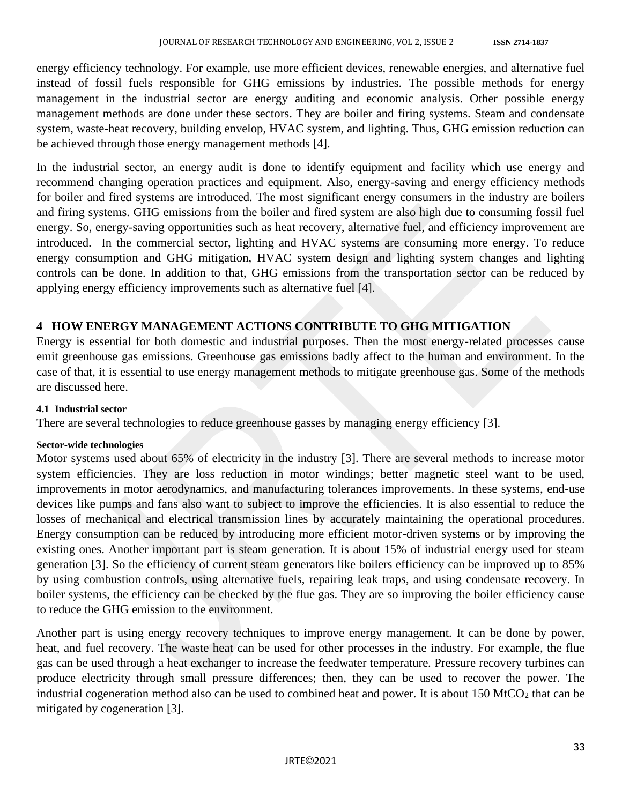energy efficiency technology. For example, use more efficient devices, renewable energies, and alternative fuel instead of fossil fuels responsible for GHG emissions by industries. The possible methods for energy management in the industrial sector are energy auditing and economic analysis. Other possible energy management methods are done under these sectors. They are boiler and firing systems. Steam and condensate system, waste-heat recovery, building envelop, HVAC system, and lighting. Thus, GHG emission reduction can be achieved through those energy management methods [4].

In the industrial sector, an energy audit is done to identify equipment and facility which use energy and recommend changing operation practices and equipment. Also, energy-saving and energy efficiency methods for boiler and fired systems are introduced. The most significant energy consumers in the industry are boilers and firing systems. GHG emissions from the boiler and fired system are also high due to consuming fossil fuel energy. So, energy-saving opportunities such as heat recovery, alternative fuel, and efficiency improvement are introduced. In the commercial sector, lighting and HVAC systems are consuming more energy. To reduce energy consumption and GHG mitigation, HVAC system design and lighting system changes and lighting controls can be done. In addition to that, GHG emissions from the transportation sector can be reduced by applying energy efficiency improvements such as alternative fuel [4].

#### **4 HOW ENERGY MANAGEMENT ACTIONS CONTRIBUTE TO GHG MITIGATION**

Energy is essential for both domestic and industrial purposes. Then the most energy-related processes cause emit greenhouse gas emissions. Greenhouse gas emissions badly affect to the human and environment. In the case of that, it is essential to use energy management methods to mitigate greenhouse gas. Some of the methods are discussed here.

#### **4.1 Industrial sector**

There are several technologies to reduce greenhouse gasses by managing energy efficiency [3].

#### **Sector-wide technologies**

Motor systems used about 65% of electricity in the industry [3]. There are several methods to increase motor system efficiencies. They are loss reduction in motor windings; better magnetic steel want to be used, improvements in motor aerodynamics, and manufacturing tolerances improvements. In these systems, end-use devices like pumps and fans also want to subject to improve the efficiencies. It is also essential to reduce the losses of mechanical and electrical transmission lines by accurately maintaining the operational procedures. Energy consumption can be reduced by introducing more efficient motor-driven systems or by improving the existing ones. Another important part is steam generation. It is about 15% of industrial energy used for steam generation [3]. So the efficiency of current steam generators like boilers efficiency can be improved up to 85% by using combustion controls, using alternative fuels, repairing leak traps, and using condensate recovery. In boiler systems, the efficiency can be checked by the flue gas. They are so improving the boiler efficiency cause to reduce the GHG emission to the environment.

Another part is using energy recovery techniques to improve energy management. It can be done by power, heat, and fuel recovery. The waste heat can be used for other processes in the industry. For example, the flue gas can be used through a heat exchanger to increase the feedwater temperature. Pressure recovery turbines can produce electricity through small pressure differences; then, they can be used to recover the power. The industrial cogeneration method also can be used to combined heat and power. It is about  $150$  MtCO<sub>2</sub> that can be mitigated by cogeneration [3].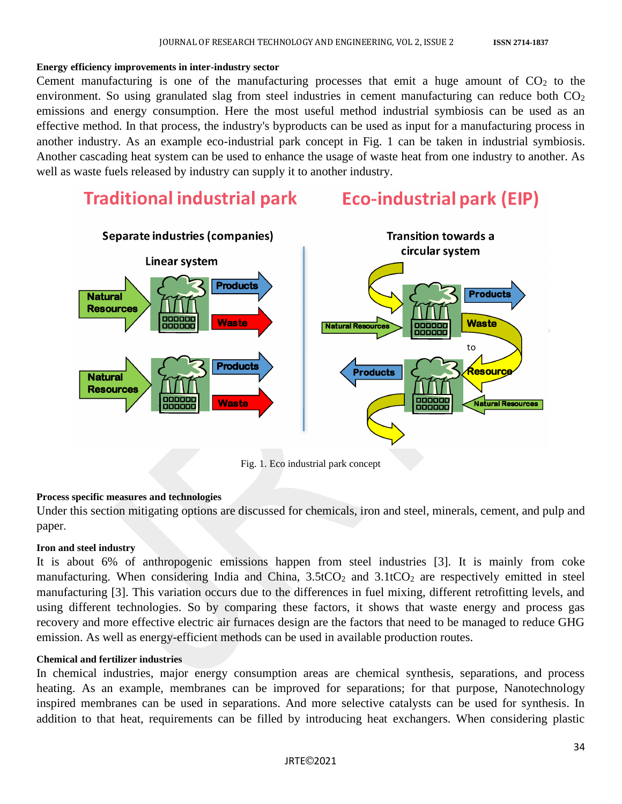#### **Energy efficiency improvements in inter-industry sector**

Cement manufacturing is one of the manufacturing processes that emit a huge amount of  $CO<sub>2</sub>$  to the environment. So using granulated slag from steel industries in cement manufacturing can reduce both  $CO<sub>2</sub>$ emissions and energy consumption. Here the most useful method industrial symbiosis can be used as an effective method. In that process, the industry's byproducts can be used as input for a manufacturing process in another industry. As an example eco-industrial park concept in Fig. 1 can be taken in industrial symbiosis. Another cascading heat system can be used to enhance the usage of waste heat from one industry to another. As well as waste fuels released by industry can supply it to another industry.

## Traditional industrial park Eco-industrial park (EIP)



Fig. 1. Eco industrial park concept

#### **Process specific measures and technologies**

Under this section mitigating options are discussed for chemicals, iron and steel, minerals, cement, and pulp and paper.

#### **Iron and steel industry**

It is about 6% of anthropogenic emissions happen from steel industries [3]. It is mainly from coke manufacturing. When considering India and China,  $3.5tCO<sub>2</sub>$  and  $3.1tCO<sub>2</sub>$  are respectively emitted in steel manufacturing [3]. This variation occurs due to the differences in fuel mixing, different retrofitting levels, and using different technologies. So by comparing these factors, it shows that waste energy and process gas recovery and more effective electric air furnaces design are the factors that need to be managed to reduce GHG emission. As well as energy-efficient methods can be used in available production routes.

#### **Chemical and fertilizer industries**

In chemical industries, major energy consumption areas are chemical synthesis, separations, and process heating. As an example, membranes can be improved for separations; for that purpose, Nanotechnology inspired membranes can be used in separations. And more selective catalysts can be used for synthesis. In addition to that heat, requirements can be filled by introducing heat exchangers. When considering plastic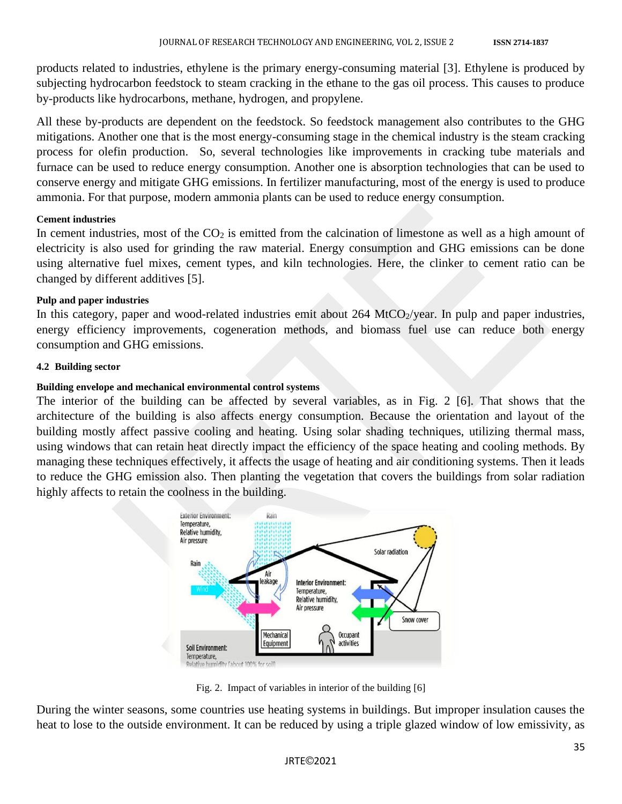products related to industries, ethylene is the primary energy-consuming material [3]. Ethylene is produced by subjecting hydrocarbon feedstock to steam cracking in the ethane to the gas oil process. This causes to produce by-products like hydrocarbons, methane, hydrogen, and propylene.

All these by-products are dependent on the feedstock. So feedstock management also contributes to the GHG mitigations. Another one that is the most energy-consuming stage in the chemical industry is the steam cracking process for olefin production. So, several technologies like improvements in cracking tube materials and furnace can be used to reduce energy consumption. Another one is absorption technologies that can be used to conserve energy and mitigate GHG emissions. In fertilizer manufacturing, most of the energy is used to produce ammonia. For that purpose, modern ammonia plants can be used to reduce energy consumption.

#### **Cement industries**

In cement industries, most of the  $CO<sub>2</sub>$  is emitted from the calcination of limestone as well as a high amount of electricity is also used for grinding the raw material. Energy consumption and GHG emissions can be done using alternative fuel mixes, cement types, and kiln technologies. Here, the clinker to cement ratio can be changed by different additives [5].

#### **Pulp and paper industries**

In this category, paper and wood-related industries emit about  $264$  MtCO<sub>2</sub>/year. In pulp and paper industries, energy efficiency improvements, cogeneration methods, and biomass fuel use can reduce both energy consumption and GHG emissions.

#### **4.2 Building sector**

#### **Building envelope and mechanical environmental control systems**

The interior of the building can be affected by several variables, as in Fig. 2 [6]. That shows that the architecture of the building is also affects energy consumption. Because the orientation and layout of the building mostly affect passive cooling and heating. Using solar shading techniques, utilizing thermal mass, using windows that can retain heat directly impact the efficiency of the space heating and cooling methods. By managing these techniques effectively, it affects the usage of heating and air conditioning systems. Then it leads to reduce the GHG emission also. Then planting the vegetation that covers the buildings from solar radiation highly affects to retain the coolness in the building.



Fig. 2. Impact of variables in interior of the building [6]

During the winter seasons, some countries use heating systems in buildings. But improper insulation causes the heat to lose to the outside environment. It can be reduced by using a triple glazed window of low emissivity, as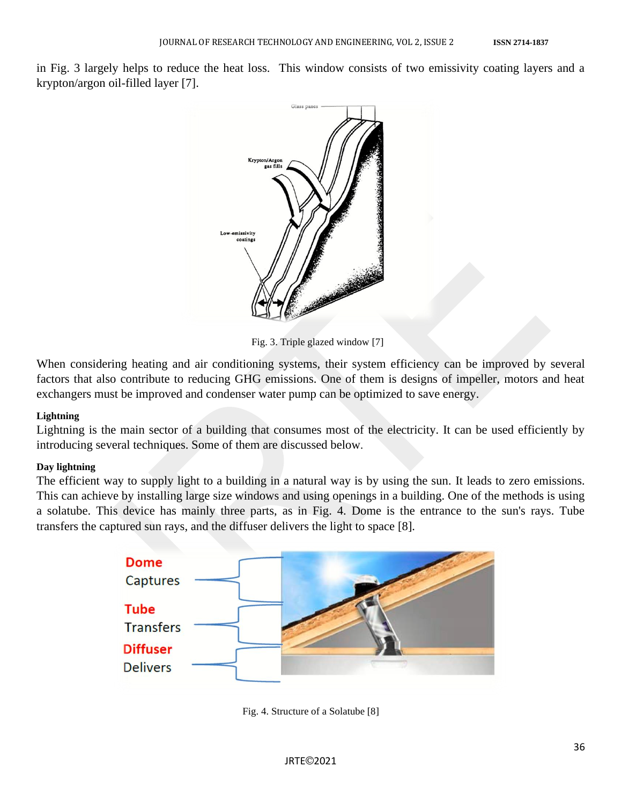in Fig. 3 largely helps to reduce the heat loss. This window consists of two emissivity coating layers and a krypton/argon oil-filled layer [7].



Fig. 3. Triple glazed window [7]

When considering heating and air conditioning systems, their system efficiency can be improved by several factors that also contribute to reducing GHG emissions. One of them is designs of impeller, motors and heat exchangers must be improved and condenser water pump can be optimized to save energy.

#### **Lightning**

Lightning is the main sector of a building that consumes most of the electricity. It can be used efficiently by introducing several techniques. Some of them are discussed below.

#### **Day lightning**

The efficient way to supply light to a building in a natural way is by using the sun. It leads to zero emissions. This can achieve by installing large size windows and using openings in a building. One of the methods is using a solatube. This device has mainly three parts, as in Fig. 4. Dome is the entrance to the sun's rays. Tube transfers the captured sun rays, and the diffuser delivers the light to space [8].



Fig. 4. Structure of a Solatube [8]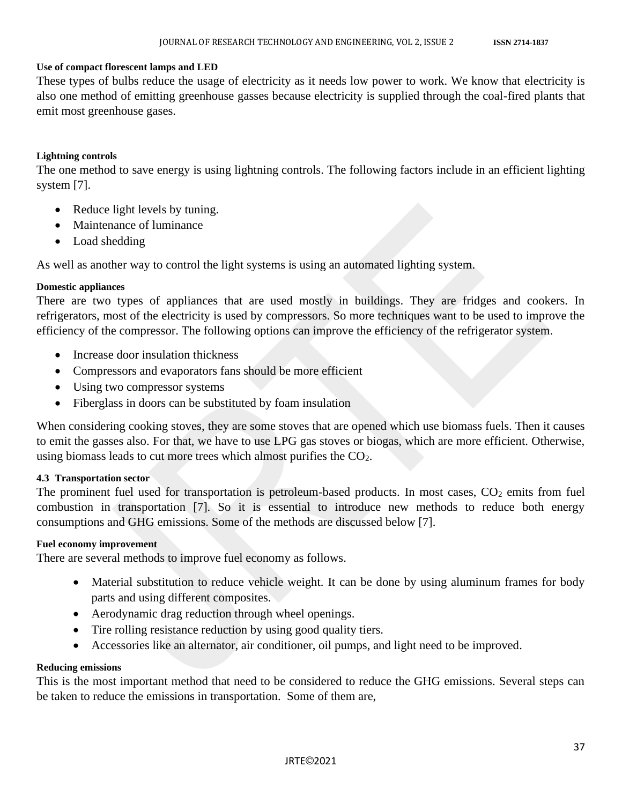#### **Use of compact florescent lamps and LED**

These types of bulbs reduce the usage of electricity as it needs low power to work. We know that electricity is also one method of emitting greenhouse gasses because electricity is supplied through the coal-fired plants that emit most greenhouse gases.

#### **Lightning controls**

The one method to save energy is using lightning controls. The following factors include in an efficient lighting system [7].

- Reduce light levels by tuning.
- Maintenance of luminance
- Load shedding

As well as another way to control the light systems is using an automated lighting system.

#### **Domestic appliances**

There are two types of appliances that are used mostly in buildings. They are fridges and cookers. In refrigerators, most of the electricity is used by compressors. So more techniques want to be used to improve the efficiency of the compressor. The following options can improve the efficiency of the refrigerator system.

- Increase door insulation thickness
- Compressors and evaporators fans should be more efficient
- Using two compressor systems
- Fiberglass in doors can be substituted by foam insulation

When considering cooking stoves, they are some stoves that are opened which use biomass fuels. Then it causes to emit the gasses also. For that, we have to use LPG gas stoves or biogas, which are more efficient. Otherwise, using biomass leads to cut more trees which almost purifies the CO<sub>2</sub>.

#### **4.3 Transportation sector**

The prominent fuel used for transportation is petroleum-based products. In most cases,  $CO<sub>2</sub>$  emits from fuel combustion in transportation [7]. So it is essential to introduce new methods to reduce both energy consumptions and GHG emissions. Some of the methods are discussed below [7].

#### **Fuel economy improvement**

There are several methods to improve fuel economy as follows.

- Material substitution to reduce vehicle weight. It can be done by using aluminum frames for body parts and using different composites.
- Aerodynamic drag reduction through wheel openings.
- Tire rolling resistance reduction by using good quality tiers.
- Accessories like an alternator, air conditioner, oil pumps, and light need to be improved.

#### **Reducing emissions**

This is the most important method that need to be considered to reduce the GHG emissions. Several steps can be taken to reduce the emissions in transportation. Some of them are,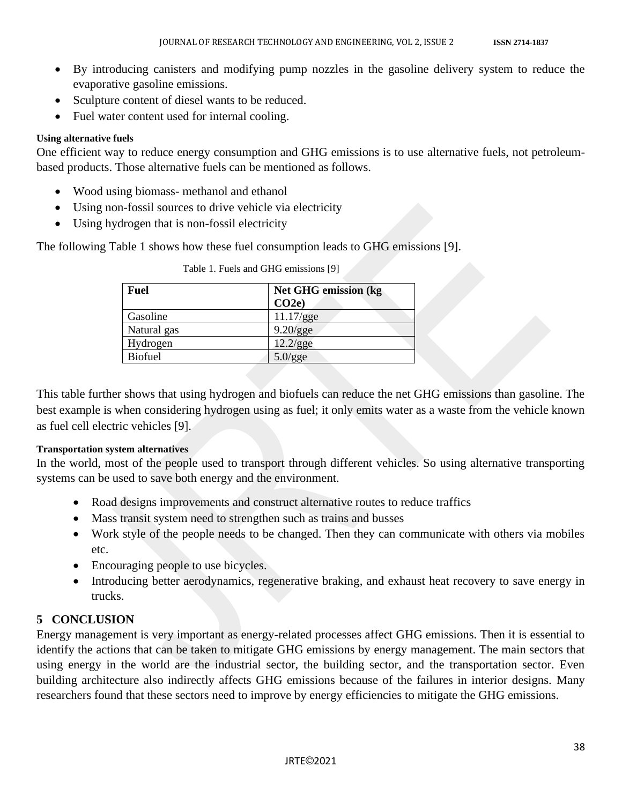- By introducing canisters and modifying pump nozzles in the gasoline delivery system to reduce the evaporative gasoline emissions.
- Sculpture content of diesel wants to be reduced.
- Fuel water content used for internal cooling.

#### **Using alternative fuels**

One efficient way to reduce energy consumption and GHG emissions is to use alternative fuels, not petroleumbased products. Those alternative fuels can be mentioned as follows.

- Wood using biomass- methanol and ethanol
- Using non-fossil sources to drive vehicle via electricity
- Using hydrogen that is non-fossil electricity

The following Table 1 shows how these fuel consumption leads to GHG emissions [9].

| Fuel           | Net GHG emission (kg)<br>CO2e |
|----------------|-------------------------------|
| Gasoline       | 11.17/gge                     |
| Natural gas    | $9.20$ /gge                   |
| Hydrogen       | 12.2/gge                      |
| <b>Biofuel</b> | $5.0$ /gge                    |

Table 1. Fuels and GHG emissions [9]

This table further shows that using hydrogen and biofuels can reduce the net GHG emissions than gasoline. The best example is when considering hydrogen using as fuel; it only emits water as a waste from the vehicle known as fuel cell electric vehicles [9].

#### **Transportation system alternatives**

In the world, most of the people used to transport through different vehicles. So using alternative transporting systems can be used to save both energy and the environment.

- Road designs improvements and construct alternative routes to reduce traffics
- Mass transit system need to strengthen such as trains and busses
- Work style of the people needs to be changed. Then they can communicate with others via mobiles etc.
- Encouraging people to use bicycles.
- Introducing better aerodynamics, regenerative braking, and exhaust heat recovery to save energy in trucks.

### **5 CONCLUSION**

Energy management is very important as energy-related processes affect GHG emissions. Then it is essential to identify the actions that can be taken to mitigate GHG emissions by energy management. The main sectors that using energy in the world are the industrial sector, the building sector, and the transportation sector. Even building architecture also indirectly affects GHG emissions because of the failures in interior designs. Many researchers found that these sectors need to improve by energy efficiencies to mitigate the GHG emissions.